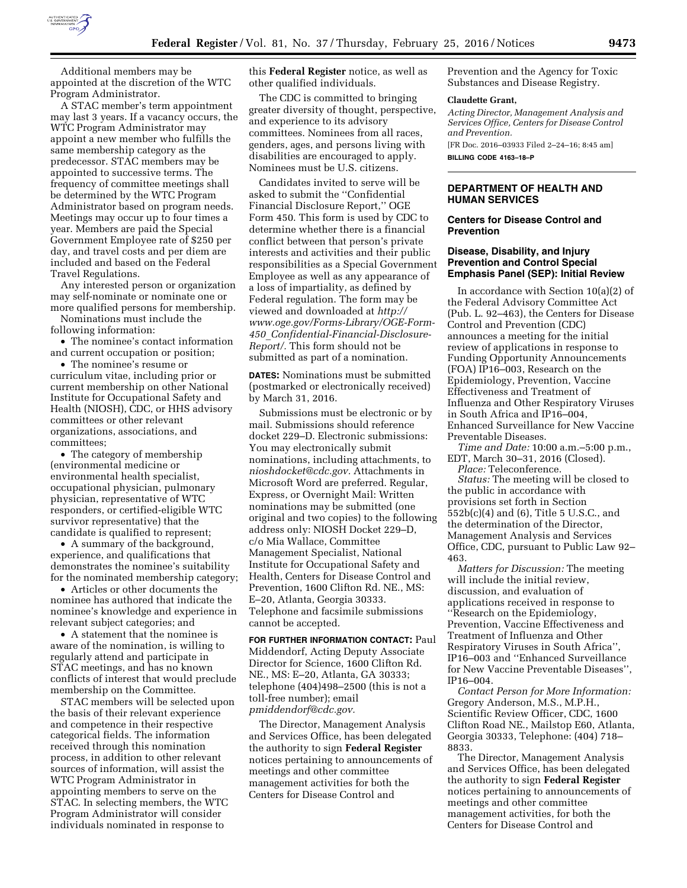

Additional members may be appointed at the discretion of the WTC Program Administrator.

A STAC member's term appointment may last 3 years. If a vacancy occurs, the WTC Program Administrator may appoint a new member who fulfills the same membership category as the predecessor. STAC members may be appointed to successive terms. The frequency of committee meetings shall be determined by the WTC Program Administrator based on program needs. Meetings may occur up to four times a year. Members are paid the Special Government Employee rate of \$250 per day, and travel costs and per diem are included and based on the Federal Travel Regulations.

Any interested person or organization may self-nominate or nominate one or more qualified persons for membership.

Nominations must include the following information:

• The nominee's contact information and current occupation or position;

• The nominee's resume or curriculum vitae, including prior or current membership on other National Institute for Occupational Safety and Health (NIOSH), CDC, or HHS advisory committees or other relevant organizations, associations, and committees;

• The category of membership (environmental medicine or environmental health specialist, occupational physician, pulmonary physician, representative of WTC responders, or certified-eligible WTC survivor representative) that the candidate is qualified to represent;

• A summary of the background, experience, and qualifications that demonstrates the nominee's suitability for the nominated membership category;

• Articles or other documents the nominee has authored that indicate the nominee's knowledge and experience in relevant subject categories; and

• A statement that the nominee is aware of the nomination, is willing to regularly attend and participate in STAC meetings, and has no known conflicts of interest that would preclude membership on the Committee.

STAC members will be selected upon the basis of their relevant experience and competence in their respective categorical fields. The information received through this nomination process, in addition to other relevant sources of information, will assist the WTC Program Administrator in appointing members to serve on the STAC. In selecting members, the WTC Program Administrator will consider individuals nominated in response to

this **Federal Register** notice, as well as other qualified individuals.

The CDC is committed to bringing greater diversity of thought, perspective, and experience to its advisory committees. Nominees from all races, genders, ages, and persons living with disabilities are encouraged to apply. Nominees must be U.S. citizens.

Candidates invited to serve will be asked to submit the ''Confidential Financial Disclosure Report,'' OGE Form 450. This form is used by CDC to determine whether there is a financial conflict between that person's private interests and activities and their public responsibilities as a Special Government Employee as well as any appearance of a loss of impartiality, as defined by Federal regulation. The form may be viewed and downloaded at *[http://](http://www.oge.gov/Forms-Library/OGE-Form-450_Confidential-Financial-Disclosure-Report/)  [www.oge.gov/Forms-Library/OGE-Form-](http://www.oge.gov/Forms-Library/OGE-Form-450_Confidential-Financial-Disclosure-Report/)450*\_*[Confidential-Financial-Disclosure-](http://www.oge.gov/Forms-Library/OGE-Form-450_Confidential-Financial-Disclosure-Report/)[Report/.](http://www.oge.gov/Forms-Library/OGE-Form-450_Confidential-Financial-Disclosure-Report/)* This form should not be submitted as part of a nomination.

**DATES:** Nominations must be submitted (postmarked or electronically received) by March 31, 2016.

Submissions must be electronic or by mail. Submissions should reference docket 229–D. Electronic submissions: You may electronically submit nominations, including attachments, to *[nioshdocket@cdc.gov.](mailto:nioshdocket@cdc.gov)* Attachments in Microsoft Word are preferred. Regular, Express, or Overnight Mail: Written nominations may be submitted (one original and two copies) to the following address only: NIOSH Docket 229–D, c/o Mia Wallace, Committee Management Specialist, National Institute for Occupational Safety and Health, Centers for Disease Control and Prevention, 1600 Clifton Rd. NE., MS: E–20, Atlanta, Georgia 30333. Telephone and facsimile submissions cannot be accepted.

**FOR FURTHER INFORMATION CONTACT:** Paul Middendorf, Acting Deputy Associate Director for Science, 1600 Clifton Rd. NE., MS: E–20, Atlanta, GA 30333; telephone (404)498–2500 (this is not a toll-free number); email *[pmiddendorf@cdc.gov.](mailto:pmiddendorf@cdc.gov)* 

The Director, Management Analysis and Services Office, has been delegated the authority to sign **Federal Register**  notices pertaining to announcements of meetings and other committee management activities for both the Centers for Disease Control and

Prevention and the Agency for Toxic Substances and Disease Registry.

#### **Claudette Grant,**

*Acting Director, Management Analysis and Services Office, Centers for Disease Control and Prevention.* 

[FR Doc. 2016–03933 Filed 2–24–16; 8:45 am] **BILLING CODE 4163–18–P** 

### **DEPARTMENT OF HEALTH AND HUMAN SERVICES**

# **Centers for Disease Control and Prevention**

# **Disease, Disability, and Injury Prevention and Control Special Emphasis Panel (SEP): Initial Review**

In accordance with Section 10(a)(2) of the Federal Advisory Committee Act (Pub. L. 92–463), the Centers for Disease Control and Prevention (CDC) announces a meeting for the initial review of applications in response to Funding Opportunity Announcements (FOA) IP16–003, Research on the Epidemiology, Prevention, Vaccine Effectiveness and Treatment of Influenza and Other Respiratory Viruses in South Africa and IP16–004, Enhanced Surveillance for New Vaccine Preventable Diseases.

*Time and Date:* 10:00 a.m.–5:00 p.m., EDT, March 30–31, 2016 (Closed). *Place:* Teleconference.

*Status:* The meeting will be closed to the public in accordance with provisions set forth in Section 552b(c)(4) and (6), Title 5 U.S.C., and the determination of the Director, Management Analysis and Services Office, CDC, pursuant to Public Law 92– 463.

*Matters for Discussion:* The meeting will include the initial review, discussion, and evaluation of applications received in response to ''Research on the Epidemiology, Prevention, Vaccine Effectiveness and Treatment of Influenza and Other Respiratory Viruses in South Africa'', IP16–003 and ''Enhanced Surveillance for New Vaccine Preventable Diseases'', IP16–004.

*Contact Person for More Information:*  Gregory Anderson, M.S., M.P.H., Scientific Review Officer, CDC, 1600 Clifton Road NE., Mailstop E60, Atlanta, Georgia 30333, Telephone: (404) 718– 8833.

The Director, Management Analysis and Services Office, has been delegated the authority to sign **Federal Register**  notices pertaining to announcements of meetings and other committee management activities, for both the Centers for Disease Control and